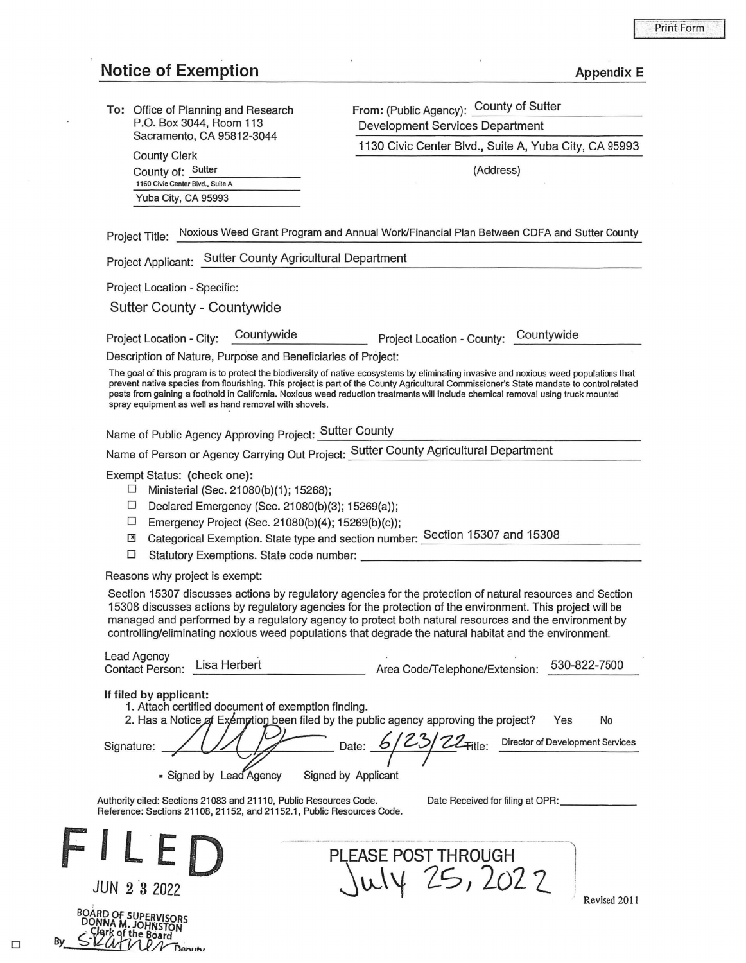## Notice of Exemption and Appendix E

**To:** Office of Planning and Research P.O. Box 3044, Room 113 Sacramento, CA 95812-3044

> County Clerk County of: Sutter 1160 Civic Center Blvd., Suite A Yuba City, CA 95993

From: (Public Agency): County of Sutter Development Services Department

1130 Civic Center Blvd., Suite A, Yuba City, CA 95993

(Address)

Project Title: Noxious Weed Grant Program and Annual Work/Financial Plan Between CDFA and Sutter County

Project Applicant: Sutter County Agricultural Department

Project Location - Specific:

Sutter County - Countywide

Project Location - City: \_c\_o\_u\_n\_t\_yw\_id\_e \_\_\_\_ \_ Project Location - County: Countywide

Description of Nature, Purpose and Beneficiaries of Project:

The goal of this program is to protect the biodiversity of native ecosystems by eliminating invasive and noxious weed populations that prevent native species from flourishing. This project is part of the County Agricultural Commissioner's State mandate to control related pests from gaining a foothold in California. Noxious weed reduction treatments will include chemical removal using truck mounted spray equipment as well as hand removal with shovels.

Name of Public Agency Approving Project: Sutter County

Name of Person or Agency Carrying out Project: Sutter County Agricultural Department

Exempt Status: **(check one):** 

- $\Box$  Ministerial (Sec. 21080(b)(1); 15268);
- □ Declared Emergency (Sec. 21080(b)(3); 15269(a));
- D Emergency Project (Sec. 21 0B0(b)(4); 15269(b)(c));
- [!I Categorical Exemption. State type and section number: Section 15307 and 15308 □ Statutory Exemptions. State code number: \_\_\_\_\_\_\_\_\_\_\_\_\_\_\_\_\_\_\_ \_
- 

Reasons why project is exempt:

Section 15307 discusses actions by regulatory agencies for the protection of natural resources and Section 15308 discusses actions by regulatory agencies for the protection of the environment. This project will be managed and performed by a regulatory agency to protect both natural resources and the environment by controlling/eliminating noxious weed populations that degrade the natural habitat and the environment.

| <b>Lead Agency</b><br>Lead Agency<br>Contact Person: Lisa Herbert | Area Code/Telephone/Extension: | 530-822-7500 |
|-------------------------------------------------------------------|--------------------------------|--------------|
|                                                                   |                                |              |

If filed by applicant:

BOOWA M. JOHNSTON<br>By S-12*U* TV Denuty<br>By S-12*U* TV Denuty

1. Attach certified document of exemption finding.

2. Has a Notice of Exemption been filed by the public agency approving the project? Yes No

Signature: / / / / P Date: **6 / 23 / 22** Fitle: Director of Development Services  $\frac{1}{\sqrt{1-\frac{1}{\sqrt{1-\frac{1}{\sqrt{1-\frac{1}{\sqrt{1-\frac{1}{\sqrt{1-\frac{1}{\sqrt{1-\frac{1}{\sqrt{1-\frac{1}{\sqrt{1-\frac{1}{\sqrt{1-\frac{1}{\sqrt{1-\frac{1}{\sqrt{1-\frac{1}{\sqrt{1-\frac{1}{\sqrt{1-\frac{1}{\sqrt{1-\frac{1}{\sqrt{1-\frac{1}{\sqrt{1-\frac{1}{\sqrt{1-\frac{1}{\sqrt{1-\frac{1}{\sqrt{1-\frac{1}{\sqrt{1-\frac{1}{\sqrt{1-\frac{1}{\sqrt{1-\frac{1}{\sqrt{1-\frac{1}{\sqrt{1-\frac{1$ • Signed by Lead Agency Signed by Applicant

Authority cited: Sections 21083 and 21110, Public Resources Code. Reference: Sections 21108, 21152, and 21152.1, Public Resources Code. Date Received for filing at OPR:

~~\'f *lS,* 2o2 7\_ \_j